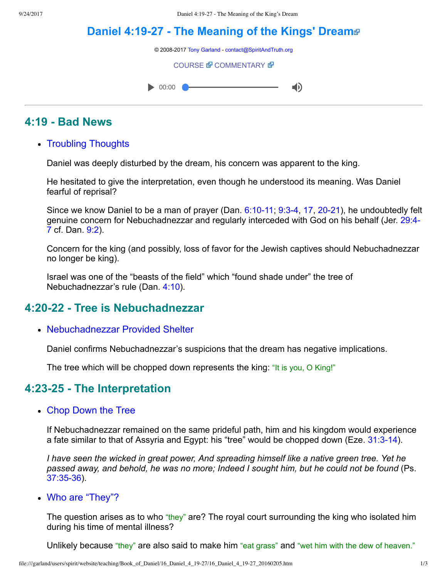# **Daniel 4:1927 The [Meaning](file:///garland/users/spirit/website/teaching/Book_of_Daniel/16_Daniel_4_19-27/index.htm) of the Kings' Dream**

© 2008-2017 [Tony Garland](file:///garland/users/spirit/website/teaching/teachers/tony_garland/bio.htm) - [contact@SpiritAndTruth.org](mailto:contact@SpiritAndTruth.org?subject=ST-MAIL:%20Daniel%204:19-27%20-%20The%20Meaning%20of%20the%20King%27s%20Dream)

**[COURSE](file:///garland/users/spirit/website/teaching/Book_of_Daniel/16_Daniel_4_19-27/index.htm) & [COMMENTARY](file:///garland/users/spirit/website/teaching/Book_of_Daniel/commentary/htm/index.html?Daniel_4:19) &** 



# **4:19 Bad News**

• Troubling Thoughts

Daniel was deeply disturbed by the dream, his concern was apparent to the king.

He hesitated to give the interpretation, even though he understood its meaning. Was Daniel fearful of reprisal?

Since we know Daniel to be a man of prayer (Dan.  $6:10-11$ ,  $9:3-4$ , [17](http://www.spiritandtruth.org/bibles/nasb/b27c009.htm#Dan._C9V17), 20-21), he undoubtedly felt [genuine concern for Nebuchadnezzar and regularly interceded with God on his behalf \(Jer. 29:4](http://www.spiritandtruth.org/bibles/nasb/b24c029.htm#Jer._C29V4) 7 cf. Dan. [9:2](http://www.spiritandtruth.org/bibles/nasb/b27c009.htm#Dan._C9V2)).

Concern for the king (and possibly, loss of favor for the Jewish captives should Nebuchadnezzar no longer be king).

Israel was one of the "beasts of the field" which "found shade under" the tree of Nebuchadnezzar's rule (Dan. [4:10](http://www.spiritandtruth.org/bibles/nasb/b27c004.htm#Dan._C4V10)).

# **4:2022 Tree is Nebuchadnezzar**

• Nebuchadnezzar Provided Shelter

Daniel confirms Nebuchadnezzar's suspicions that the dream has negative implications.

The tree which will be chopped down represents the king: "It is you, O King!"

#### **4:2325 The Interpretation**

Chop Down the Tree

If Nebuchadnezzar remained on the same prideful path, him and his kingdom would experience a fate similar to that of Assyria and Egypt: his "tree" would be chopped down (Eze.  $31:3-14$ ).

*I have seen the wicked in great power, And spreading himself like a native green tree. Yet he passed away, and behold, he was no more; Indeed I sought him, but he could not be found* (Ps. [37:3536](http://www.spiritandtruth.org/bibles/nasb/b19c037.htm#Ps._C37V35)).

Who are "They"?

The question arises as to who "they" are? The royal court surrounding the king who isolated him during his time of mental illness?

Unlikely because "they" are also said to make him "eat grass" and "wet him with the dew of heaven."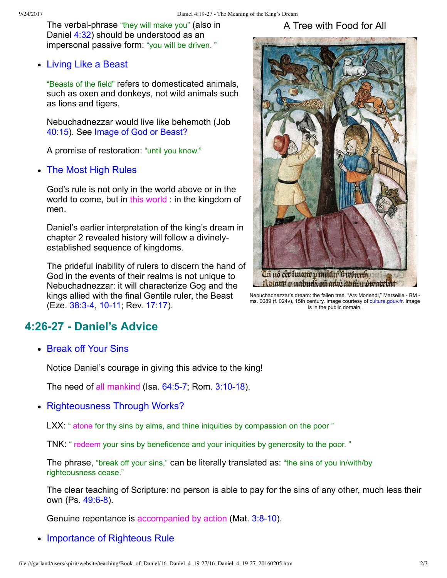The verbal-phrase "they will make you" (also in Daniel [4:32\)](http://www.spiritandtruth.org/bibles/nasb/b27c004.htm#Dan._C4V32) should be understood as an impersonal passive form: "you will be driven. "

Living Like a Beast

"Beasts of the field" refers to domesticated animals, such as oxen and donkeys, not wild animals such as lions and tigers.

Nebuchadnezzar would live like behemoth (Job [40:15](http://www.spiritandtruth.org/bibles/nasb/b18c040.htm#Job_C40V15)). See [Image of God or Beast?](http://www.spiritandtruth.org/id/danc.html?Daniel_2:31)

A promise of restoration: "until you know."

The Most High Rules

God's rule is not only in the world above or in the world to come, but in this world : in the kingdom of men.

Daniel's earlier interpretation of the king's dream in chapter 2 revealed history will follow a divinelyestablished sequence of kingdoms.

The prideful inability of rulers to discern the hand of God in the events of their realms is not unique to Nebuchadnezzar: it will characterize Gog and the kings allied with the final Gentile ruler, the Beast (Eze. 38:3-4, 10-11; Rev. [17:17\)](http://www.spiritandtruth.org/bibles/nasb/b66c017.htm#Rev._C17V17).

#### A Tree with Food for All



[Nebuchadnezzar's](file:///garland/users/spirit/website/teaching/Book_of_Daniel/16_Daniel_4_19-27/Songe_Nabuchodonosor_arbre.jpg) dream: the fallen tree. "Ars Moriendi." Marseille - BM ms. 0089 (f. 024v), 15th century. Image courtesy of [culture.gouv.fr.](http://commons.wikimedia.org/wiki/File:Songe_Nabuchodonosor_arbre.jpg) Image is in the public domain.

### **4:2627 Daniel's Advice**

• Break off Your Sins

Notice Daniel's courage in giving this advice to the king!

The need of all mankind (Isa.  $64:5-7$ ; Rom.  $3:10-18$ ).

• Righteousness Through Works?

LXX: " atone for thy sins by alms, and thine iniquities by compassion on the poor "

TNK: " redeem your sins by beneficence and your iniquities by generosity to the poor. "

The phrase, "break off your sins," can be literally translated as: "the sins of you in/with/by righteousness cease."

The clear teaching of Scripture: no person is able to pay for the sins of any other, much less their own (Ps. 49:6-8).

Genuine repentance is accompanied by action (Mat. 3:8-10).

• Importance of Righteous Rule